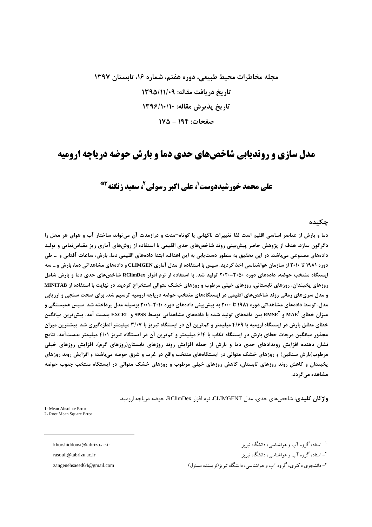# مجله مخاطرات محیط طبیعی، دوره هفتم، شماره ۱۶، تابستان ۱۳۹۷ تاریخ دریافت مقاله: ۱۳۹۵/۱۱/۰۹ تاريخ پذيرش مقاله: ١٣٩۶/١٠/١٠ صفحات: ۱۹۴ - ۱۷۵

### مدل سازی و روندیابی شاخصهای حدی دما و بارش حوضه دریاچه ارومیه

## علی محمد خورشیددوست'، علی اکبر رسولی'، سعید زنگنه"\*

#### چکىدە

دما و بارش از عناصر اساسی اقلیم است لذا تغییرات ناگهانی یا کوتاه¬مدت و درازمدت آن میتواند ساختار آب و هوای هر محل را دگرگون سازد. هدف از پژوهش حاضر پیش،پینی روند شاخصهای حدی اقلیمی با استفاده از روشهای آماری ریز مقیاس;نمایی و تولید دادههای مصنوعی میباشد. در این تحقیق به منظور دستیابی به این اهداف، ابتدا دادههای اقلیمی دما، بارش، ساعات آفتابی و … طی دوره ۱۹۸۱ تا ۲۰۱۰ از سازمان هواشناسی اخذ گردید. سپس با استفاده از مدل آماری CLIMGEN و دادههای مشاهداتی دما، بارش و… سه ایستگاه منتخب حوضه، دادههای دوره ۲۰۵۰-۲۰۲۰ تولید شد. با استفاده از نرم افزار RClimDex شاخصهای حدی دما و بارش شامل روزهای پخبندان، روزهای تابستانی، روزهای خیلی مرطوب و روزهای خشک متوالی استخراج گردید. در نهایت با استفاده از MINITAB و مدل سریهای زمانی روند شاخصهای اقلیمی در ایستگاههای منتخب حوضه دریاچه ارومیه ترسیم شد. برای صحت سنجی و ارزیابی مدل، توسط دادههای مشاهداتی دوره ۱۹۸۱ تا ۲۰۰۰ به پیش بینی دادههای دوره ۲۰۱۰–۲۰۰۱ بوسیله مدل پرداخته شد. سپس همبستگی و میزان خطای 'MAE و 'RMSE بین دادههای تولید شده با دادههای مشاهداتی توسط SPSS و EXCEL بدست آمد. بیش ترین میانگین خطای مطلق بارش در ایستگاه ارومیه با ۴/۶۹ میلیمتر و کم ترین آن در ایستگاه تبریز با ۳/۰۷ میلیمتر اندازهگیری شد. بیشترین میزان مجذور میانگین مربعات خطای بارش در ایستگاه تکاب با ۶/۴ میلیمتر و کمترین آن در ایستگاه تبریز ۴/۰۱ میلیمتر بدستآمد. نتایج نشان دهنده افزایش رویدادهای حدی دما و بارش از جمله افزایش روند روزهای تابستان(روزهای گرم)، افزایش روزهای خیلی مرطوب(بارش سنگین) و روزهای خشک متوالی در ایستگاههای منتخب واقع در غرب و شرق حوضه میباشد؛ و افزایش روند روزهای یخبندان و کاهش روند روزهای تابستان، کاهش روزهای خیلی مرطوب و روزهای خشک متوالی در ایستگاه منتخب جنوب حوضه مشاهده مے گر دد.

واژگان کلیدی: شاخص های حدی، مدل CLIMGENT، نرم افزار RClimDex، حوضه دریاچه ارومیه.

1- Mean Absolute Error 2- Root Mean Square Error

khorshiddoust@tabrizu.ac.ir

rasouli@tabrizu.ac.ir

zangenehsaeed64@gmail.com

'-استاد، گروه آب و هواشناسی، دانشگاه تیریز <sup>۲</sup>–استاد، گروه آب و هواشناسی، دانشگاه تبریز <sup>۳</sup>- دانشجوی دکتری، گروه آب و هواشناسی، دانشگاه تیریز (نویسنده مسئول)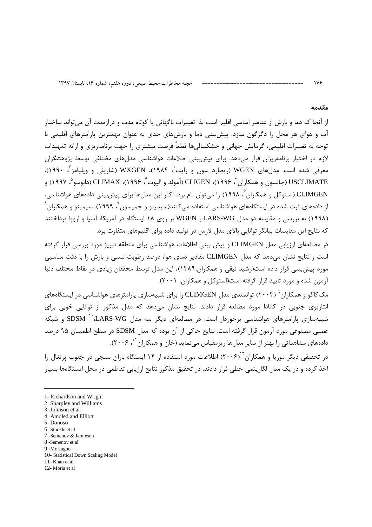#### مقدمه

 $\sqrt{9}$ 

از آنجا که دما و بارش از عناصر اساسی اقلیم است لذا تغییرات ناگهانی یا کوتاه مدت و درازمدت آن می تواند ساختار آب و هوای هر محل را دگرگون سازد. پیش بینی دما و بارشهای حدی به عنوان مهمترین پارامترهای اقلیمی با توجه به تغییرات اقلیمی، گرمایش جهانی و خشکسالیها قطعاً فرصت بیشتری را جهت برنامهریزی و ارائه تمهیدات لازم در اختیار برنامهریزان قرار میدهد. برای پیشبینی اطلاعات هواشناسی مدلهای مختلفی توسط پژوهشگران معرفی شده است. مدلهای WGEN (ریچارد سون و رایت ٰ، ۱۹۸۴)، WXGEN (شارپلی و ویلیامز ٔ، ۱۹۹۰)، USCLIMATE (جانسون و همكاران ٌ، ۱۹۹۶)، CLIGEN (آمولد و البوت ٌ، ۱۹۹۶)، CLIMAX (دانوسو ْ، ۱۹۹۷) و CLIMGEN (استوکل و همکاران <sup>ت</sup>، ۱۹۹۸) را می توان نام برد. اکثر این مدل۱ها برای پیش بینی دادههای هواشناسی، از دادههای ثبت شده در ایستگاههای هواشناسی استفاده می *ک*نند(سیمینو و جمیسون <sup>۷</sup>، ۱۹۹۹). سیمینو و همکاران <sup>۸</sup> (۱۹۹۸) به بررسی و مقایسه دو مدل LARS-WG و WGEN بر روی ۱۸ ایستگاه در آمریکا، آسیا و اروپا پرداختند که نتایج این مقایسات بیانگر توانایی بالای مدل لارس در تولید داده برای اقلیمهای متفاوت بود.

در مطالعه|ی ارزیابی مدل CLIMGEN و پیش بینی اطلاعات هواشناسی برای منطقه تبریز مورد بررسی قرار گرفته است و نتایج نشان می دهد که مدل CLIMGEN مقادیر دمای هوا، درصد رطوبت نسبی و بارش را با دقت مناسبی مورد پیشبینی قرار داده است(رشید نیقی و همکاران،۱۳۸۹). این مدل توسط محققان زیادی در نقاط مختلف دنیا آزمون شده و مورد تایید قرار گرفته است(استوکل و همکاران، ۲۰۰۱).

مک کاگو و همکاران ۲۰۰۳) توانمندی مدل CLIMGEN را برای شبیهسازی پارامترهای هواشناسی در ایستگاههای انتاریوی جنوبی در کانادا مورد مطالعه قرار دادند. نتایج نشان می۱دهد که مدل مذکور از توانایی خوبی برای شبیهسازی پارامترهای هواشناسی برخوردار است. در مطالعهای دیگر سه مدل SDSM <sup>۱۰</sup>۰ LARS-WG و شبکه عصبی مصنوعی مورد آزمون قرار گرفته است. نتایج حاکی از آن بوده که مدل SDSM در سطح اطمینان ۹۵ درصد دادههای مشاهداتی را بهتر از سایر مدلها ریزمقیاس مینماید (خان و همکاران <sup>۱٬</sup> ۲۰۰۶).

در تحقیقی دیگر موریا و همکاران<sup>۲۰</sup>(۲۰۰۶) اطلاعات مورد استفاده از ۱۴ ایستگاه باران سنجی در جنوب پرتغال را اخذ کرده و در یک مدل لگاریتمی خطی قرار دادند. در تحقیق مذکور نتایج ارزیابی تقاطعی در محل ایستگاهها بسیار

- 2 -Sharpley and Williams 3-Johnson et al.
- 
- 4 -Amoled and Elliott 5-Donoso
- 6 -Stockle et al
- 7 -Semenov & Jamieson
- 8 -Semenov et al
- 9 -Mc kaguo
- 10- Statistical Down Scaling Model
- 11- Khan et al
- 12-Moria et al.

<sup>1-</sup> Richardson and Wright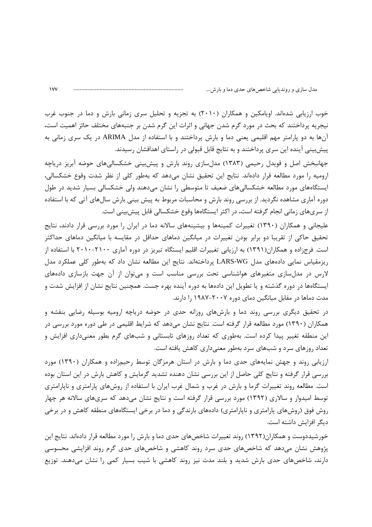خوب ارزیابی شدهاند. اویامکین و همکاران (۲۰۱۰) به تجزیه و تحلیل سری زمانی بارش و دما در جنوب غرب نیجریه پرداختند که بحث در مورد گرم شدن جهانی و اثرات این گرم شدن بر جنبههای مختلف حائز اهمیت است، آنها به دو پارامتر مهم اقلیمی یعنی دما و بارش پرداختند و با استفاده از مدل ARIMA در یک سری زمانی به پیشبینی آینده این سری پرداختند و به نتایج قابل قبولی در راستای اهدافشان رسیدند.

جهانبخش اصل و قویدل رحیمی (۱۳۸۳) مدلسازی روند بارش و پیش بینی خشکسالی های حوضه آبریز دریاچه اروميه را مورد مطالعه قرار دادهاند. نتايج اين تحقيق نشان مىدهد كه بهطور كلى از نظر شدت وقوع خشكسالى، ایستگاههای مورد مطالعه خشکسالیهای ضعیف تا متوسطی را نشان میدهند ولی خشکسالی بسیار شدید در طول دوره آماری مشاهده نگردید. از بررسی روند بارش و محاسبات مربوط به پیش بینی بارش سالهای آتی که با استفاده از سریهای زمانی انجام گرفته است، در اکثر ایستگاهها وقوع خشکسالی قابل پیش بینی است.

علیجانی و همکاران (۱۳۹۰) تغییرات کمینهها و بیشینههای سالانه دما در ایران را مورد بررسی قرار دادند، نتایج تحقیق حاکی از تقریبا دو برابر بودن تغییرات در میانگین دماهای حداقل در مقایسه با میانگین دماهای حداکثر است. فرج;اده و همکاران(۱۳۹۱) به ارزیابی تغییرات اقلیم ایستگاه تبریز در دوره آماری ۲۱۰۰-۲۰۱۰ با استفاده از ریزمقیاس نمایی دادههای مدل LARS-WG پرداختهاند. نتایج این مطالعه نشان داد که بهطور کلی عملکرد مدل لارس در مدلسازی متغیرهای هواشناسی تحت بررسی مناسب است و میتوان از آن جهت بازسازی دادههای ایستگاهها در دوره گذشته و یا تطویل این دادهها به دوره آینده بهره جست. همچنین نتایج نشان از افزایش شدت و مدت دماها در مقابل میانگین دمای دوره ۲۰۰۷–۱۹۸۷ را دارند.

در تحقیق دیگری بررسی روند دما و بارشهای روزانه حدی در حوضه دریاچه ارومیه بوسیله رضایی بنفشه و همکاران (۱۳۹۰) مورد مطالعه قرار گرفته است. نتایج نشان میدهد که شرایط اقلیمی در طی دوره مورد بررسی در این منطقه تغییر پیدا کرده است. بهطوری که تعداد روزهای تابستانی و شبهای گرم بطور معنیداری افزایش و تعداد روزهای سرد و شبهای سرد بهطور معنیداری کاهش یافته است.

ارزیابی روند و جهش نمایههای حدی دما و بارش در استان هرمزگان توسط رحیمزاده و همکاران (۱۳۹۰) مورد بررسی قرار گرفته و نتایج کلی حاصل از این بررسی نشان دهنده تشدید گرمایش و کاهش بارش در این استان بوده است. مطالعه روند تغییرات گرما و بارش در غرب و شمال غرب ایران با استفاده از روشهای پارامتری و ناپارامتری توسط امیدوار و سالاری (۱۳۹۲) مورد بررسی قرار گرفته است و نتایج نشان میدهد که سریهای سالانه هر چهار روش فوق (روشهای پارامتری و ناپارامتری) دادههای بارندگی و دما در برخی ایستگاههای منطقه کاهش و در برخی ديگر افزايش داشته است.

خورشیددوست و همکاران(۱۳۹۲) روند تغییرات شاخصهای حدی دما و بارش را مورد مطالعه قرار دادهاند. نتایج این پژوهش نشان میدهد که شاخصهای حدی سرد روند کاهشی و شاخصهای حدی گرم روند افزایشی محسوسی دارند، شاخصهای حدی بارش شدید و بلند مدت نیز روند کاهشی با شیب بسیار کمی را نشان میدهند. توزیع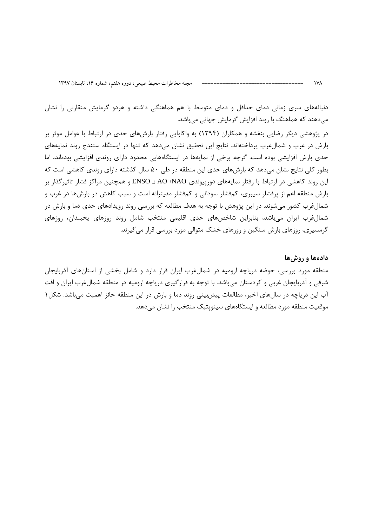دنبالههای سری زمانی دمای حداقل و دمای متوسط با هم هماهنگی داشته و هردو گرمایش متقارنی را نشان میدهند که هماهنگ با روند افزایش گرمایش جهانی میباشد.

در پژوهشی دیگر رضایی بنفشه و همکاران (۱۳۹۴) به واکاوایی رفتار بارشهای حدی در ارتباط با عوامل موثر بر بارش در غرب و شمالٍغرب پرداختهاند. نتایج این تحقیق نشان میدهد که تنها در ایستگاه سنندج روند نمایههای حدی بارش افزایشی بوده است. گرچه برخی از نمایهها در ایستگاههایی محدود دارای روندی افزایشی بودهاند، اما بطور کلی نتایج نشان میدهد که بارشهای حدی این منطقه در طی ۵۰ سال گذشته دارای روندی کاهشی است که این روند کاهشی در ارتباط با رفتار نمایههای دورپیوندی AO ،NAO و ENSO و همچنین مراکز فشار تاثیرگذار بر بارش منطقه اعم از پرفشار سیبری، کمفشار سودانی و کمفشار مدیترانه است و سبب کاهش در بارشها در غرب و شمالغرب کشور میشوند. در این پژوهش با توجه به هدف مطالعه که بررسی روند رویدادهای حدی دما و بارش در شمال غرب ایران می باشد، بنابراین شاخصهای حدی اقلیمی منتخب شامل روند روزهای یخبندان، روزهای گرمسیری، روزهای بارش سنگین و روزهای خشک متوالی مورد بررسی قرار می گیرند.

دادهها و روشها منطقه مورد بررسی، حوضه دریاچه ارومیه در شمالغرب ایران قرار دارد و شامل بخشی از استانهای آذربایجان شرقی و آذربایجان غربی و کردستان میباشد. با توجه به قرارگیری دریاچه ارومیه در منطقه شمالغرب ایران و افت آب این دریاچه در سالهای اخیر، مطالعات پیشبینی روند دما و بارش در این منطقه حائز اهمیت میباشد. شکل ۱ موقعیت منطقه مورد مطالعه و ایستگاههای سینویتیک منتخب را نشان می دهد.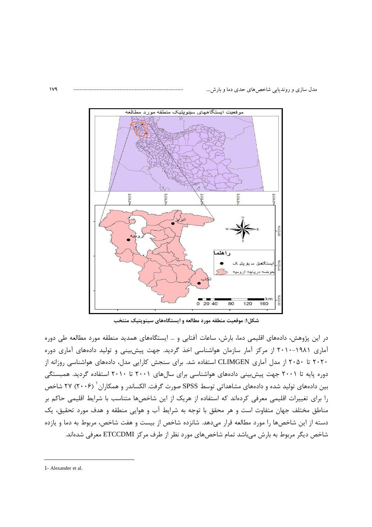

شکل۱: موقعیت منطقه مورد مطالعه و ایستگاههای سینوپتیک منتخب

در این پژوهش، دادههای اقلیمی دما، بارش، ساعات آفتابی و … ایستگاههای همدید منطقه مورد مطالعه طی دوره آماری ۱۹۸۱-۲۰۱۰ از مرکز آمار سازمان هواشناسی اخذ گردید. جهت پیشبینی و تولید دادههای آماری دوره ۲۰۲۰ تا ۲۰۵۰ از مدل آماری CLIMGEN استفاده شد. برای سنجش کارایی مدل، دادههای هواشناسی روزانه از دوره پایه تا ۲۰۰۱ جهت پیشبینی دادههای هواشناسی برای سالهای ۲۰۰۱ تا ۲۰۱۰ استفاده گردید. همبستگی بین دادههای تولید شده و دادههای مشاهداتی توسط SPSS صورت گرفت. الکساندر و همکاران <sup>۱</sup> (۲۰۰۶) ۲۷ شاخص را برای تغییرات اقلیمی معرفی کردهاند که استفاده از هریک از این شاخصها متناسب با شرایط اقلیمی حاکم بر مناطق مختلف جهان متفاوت است و هر محقق با توجه به شرايط آب و هوايي منطقه و هدف مورد تحقيق، يک دسته از این شاخصها را مورد مطالعه قرار میدهد. شانزده شاخص از بیست و هفت شاخص، مربوط به دما و یازده شاخص دیگر مربوط به بارش میباشد تمام شاخصهای مورد نظر از طرف مرکز ETCCDMI معرفی شدهاند.

 $\overline{a}$ 

<sup>1</sup>- Alexander et al.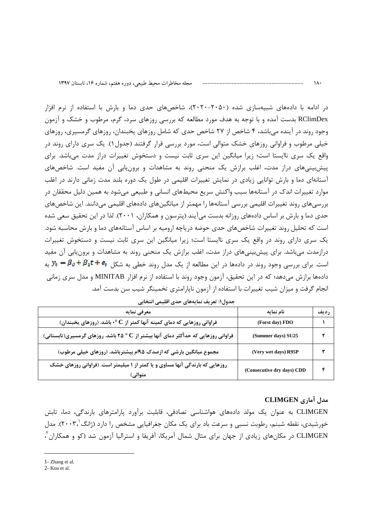در ادامه با دادههای شبیهسازی شده (۲۰۵۰–۲۰۲۰)، شاخصهای حدی دما و بارش با استفاده از نرم افزار RClimDex بدست آمده و با توجه به هدف مورد مطالعه که بررسی روزهای سرد، گرم، مرطوب و خشک و آزمون وجود روند در آینده میباشد، ۴ شاخص از ۲۷ شاخص حدی که شامل روزهای یخبندان، روزهای گرمسیری، روزهای خیلی مرطوب و فراوانی روزهای خشک متوالی است، مورد بررسی قرار گرفتند (جدول۱). یک سری دارای روند در واقع یک سری ناایستا است؛ زیرا میانگین این سری ثابت نیست و دستخوش تغییرات دراز مدت میباشد. برای پیشبینیهای دراز مدت، اغلب برازش یک منحنی روند به مشاهدات و برون یابی آن مفید است. شاخصهای آستانهای دما و بارش توانایی زیادی در نمایش تغییرات اقلیمی در طول یک دوره بلند مدت زمانی دارند در اغلب موارد تغییرات اندک در آستانهها سبب واکنش سریع محیطهای انسانی و طبیعی میشود به همین دلیل محققان در بررسیهای روند تغییرات اقلیمی بررسی آستانهها را مهمتر از میانگینهای دادههای اقلیمی میدانند. این شاخصهای حدی دما و بارش بر اساس دادههای روزانه بدست میآیند (پترسون و همکاران، ۲۰۰۱). لذا در این تحقیق سعی شده است که تحلیل روند تغییرات شاخصهای حدی حوضه دریاچه ارومیه بر اساس آستانههای دما و بارش محاسبه شود. یک سری دارای روند در واقع یک سری ناایستا است؛ زیرا میانگین این سری ثابت نیست و دستخوش تغییرات درازمدت می باشد. برای پیش بینی های دراز مدت، اغلب برازش یک منحنی روند به مشاهدات و برون یابی آن مفید است. برای بررسی وجود روند در دادهها در این مطالعه از یک مدل روند خطی به شکل  $\theta_t+\theta_1 t+\cdots$  به دادهها برازش میدهد؛ که در این تحقیق، آزمون وجود روند با استفاده از نرم افزار MINITAB و مدل سری زمانی انجام گرفت و میزان شیب تغییرات با استفاده از آزمون ناپارامتری تخمینگر شیب سن بدست آمد.

| معرفي نمايه                                                                              | نام نمایه                  | <b>رديف</b> |
|------------------------------------------------------------------------------------------|----------------------------|-------------|
| فراوانی روزهایی که دمای کمینه آنها کمتر از $\mathbf{C}$ ۰ باشد. (روزهای یخبندان)         | (Forst day) FDO            |             |
| فراوانی روزهایی که حدأکثر دمای آنها بیشتر از C ° ۲۵ باشد. روزهای گرمسیری(تابستانی)       | (Summer days) SU25         |             |
| مجموع میانگین بارشی که ازصدک ۱۹۵م بیشترباشد. (روزهای خیلی مرطوب)                         | (Very wet days) R95P       |             |
| روزهایی که بارندگی آنها مساوی و یا کمتر از ۱ میلیمتر است. (فراوانی روزهای خشک<br>متوالي. | (Consecutive dry days) CDD |             |

جدول١: تعريف نمايههاي حدى اقليمي انتخابي

### مدل آماری CLIMGEN

 $\lambda$ 

CLIMGEN به عنوان یک مولد دادههای هواشناسی تصادفی، قابلیت برآورد پارامترهای بارندگی، دما، تابش خورشیدی، نقطه شبنم، رطوبت نسبی و سرعت باد برای یک مکان جغرافیایی مشخص را دارد (ژانگ $\langle \mathbf{y}, \mathbf{y} \rangle$ . مدل CLIMGEN در مکانهای زیادی از جهان برای مثال شمال آمریکا، آفریقا و استرالیا آزمون شد (کو و همکاران ٰ،

<sup>1-</sup> Zhang et al.

<sup>2-</sup> Kou et al.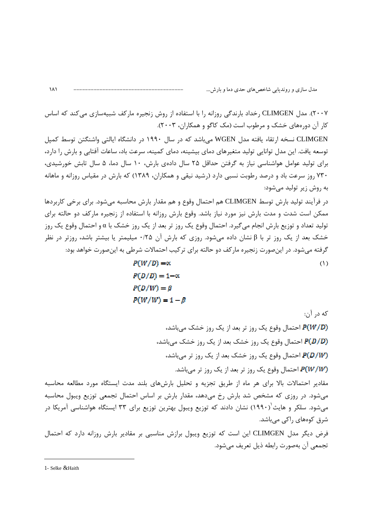۲۰۰۷). مدل CLIMGEN رخداد بارندگی روزانه را با استفاده از روش زنجیره مارکف شبیهسازی می کند که اساس کار آن دورههای خشک و مرطوب است (مک کاگو و همکاران، ۲۰۰۳).

CLIMGEN نسخه ارتقاء یافته مدل WGEN می باشد که در سال ۱۹۹۰ در دانشگاه ایالتی واشنگتن توسط کمیل توسعه يافت. اين مدل توانايي توليد متغيرهاي دماي بيشينه، دماي كمينه، سرعت باد، ساعات آفتابي و بارش را دارد، برای تولید عوامل هواشناسی نیاز به گرفتن حداقل ۲۵ سال دادهی بارش، ۱۰ سال دما، ۵ سال تابش خورشیدی، ۷۳۰ روز سرعت باد و درصد رطوبت نسبی دارد (رشید نیقی و همکاران، ۱۳۸۹) که بارش در مقیاس روزانه و ماهانه به روش زیر تولید می شود:

در فرآیند تولید بارش توسط CLIMGEN هم احتمال وقوع و هم مقدار بارش محاسبه می شود. برای برخی کاربردها ممکن است شدت و مدت بارش نیز مورد نیاز باشد. وقوع بارش روزانه با استفاده از زنجیره مارکف دو حالته برای تولید تعداد و توزیع بارش انجام میگیرد. احتمال وقوع یک روز تر بعد از یک روز خشک با α و احتمال وقوع یک روز خشک بعد از یک روز تر با β نشان داده میشود. روزی که بارش آن ۰/۲۵ میلیمتر یا بیشتر باشد، روزتر در نظر گرفته می شود. در این صورت زنجیره مارکف دو حالته برای ترکیب احتمالات شرطی به این صورت خواهد بود:

$$
P(W/D) = \alpha
$$
  
\n
$$
P(D/D) = 1 - \alpha
$$
  
\n
$$
P(D/W) = \beta
$$
  
\n
$$
P(W/W) = 1 - \beta
$$
 (1)

كه د, آن:

احتمال وقوع یک روز تر بعد از یک روز خشک میباشد، احتمال وقوع یک روز خشک بعد از یک روز خشک میباشد، احتمال وقوع یک روز خشک بعد از یک روز تر میباشد، احتمال وقوع یک روز تر بعد از یک روز تر میباشد.  $P(W/W)$ 

مقادير احتمالات بالا براي هر ماه از طريق تجزيه و تحليل بارشهاي بلند مدت ايستگاه مورد مطالعه محاسبه میشود. در روزی که مشخص شد بارش رخ میدهد، مقدار بارش بر اساس احتمال تجمعی توزیع ویبول محاسبه میشود. سلکر و هایث $^{'}$ (۱۹۹۰) نشان دادند که توزیع ویبول بهترین توزیع برای ۳۳ ایستگاه هواشناسی آمریکا در شرق کومھای راکے مے باشد.

فرض دیگر مدل CLIMGEN این است که توزیع ویبول برازش مناسبی بر مقادیر بارش روزانه دارد که احتمال تجمعي آن بهصورت رابطه ذيل تعريف مي شود.

 $\overline{a}$ 

<sup>1</sup>- Selke &Haith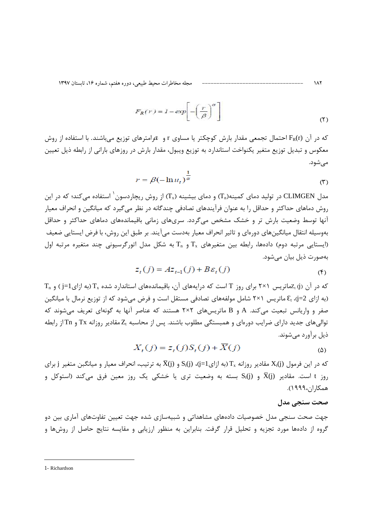مجله مخاطرات محيط طبيعي، دوره هفتم، شماره ١۶، تابستان ١٣٩٧

$$
F_R(r) = 1 - \exp\left[-\left(\frac{r}{\beta}\right)^{\alpha}\right]
$$
 (1)

که در آن (FR(r احتمال تجمعی مقدار بارش کوچکتر یا مساوی r و  $a$ رامترهای توزیع می باشند. با استفاده از روش معکوس و تبدیل توزیع متغیر یکنواخت استاندارد به توزیع ویبول، مقدار بارش در روزهای بارانی از رابطه ذیل تعیین مے شود.

$$
r = \beta(-\ln u_t)^{\frac{1}{\alpha}}
$$
 (7)

مدل CLIMGEN در تولید دمای کمینه(Ta) و دمای بیشینه (Tx) از روش ریچاردسون <sup>۱</sup> استفاده می کند؛ که در این روش دماهای حداکثر و حداقل را به عنوان فرآیندهای تصادفی چندگانه در نظر می گیرد که میانگین و انحراف معیار آنها توسط وضعیت بارش تر و خشک مشخص میگردد. سریهای زمانی باقیماندههای دماهای حداکثر و حداقل بهوسیله انتقال میانگینهای دورهای و تاثیر انحراف معیار بهدست میآیند. بر طبق این روش، با فرض ایستایی ضعیف ایستایی مرتبه دوم) دادهها، رابطه بین متغیرهای  $T_x$  و  $T_n$  به شکل مدل اتورگرسیونی چند متغیره مرتبه اول $($ بەصورت ذیل بیان مے شود.

$$
z_t(j) = Az_{t-1}(j) + B\varepsilon_t(j)
$$
\n<sup>(\*)</sup>

T<sub>n</sub> و (j) محماتریس ۲×۲ برای روز T است که درایههای آن، باقیماندههای استاندارد شده T<sub>x</sub> (به ازای j=1) و T<sub>n</sub> (به ازای 2=j)، ،E ماتریس (×۲ شامل مولفههای تصادفی مستقل است و فرض می شود که از توزیع نرمال با میانگین صفر و واریانس تبعیت میکند. A و B ماتریسهای ۲×۲ هستند که عناصر آنها به گونهای تعریف میشوند که توالیهای جدید دارای ضرایب دورهای و همبستگی مطلوب باشند. پس از محاسبه ،Z مقادیر روزانه  $Tx$  و Tn از رابطه ذیل برآورد مے شوند.

$$
X_t(j) = z_t(j)S_t(j) + X(j)
$$
 (a)

که در این فرمول (X،(j) مقادیر روزانه  $T_x$  (به ازای $\mathrm{I}$ ()،  $\mathrm{S}_{\mathrm{t}}(\mathrm{j})$  و  $\overline{\mathrm{X}}(\mathrm{j})$  به ترتیب، انحراف معیار و میانگبن متغیر j برای روز t است. مقادیر (X(j و S1() بسته به وضعیت تری یا خشکی یک روز معین فرق میکند (استوکل و  $\overline{\rm X}$ (j) ر همكاران،١٩٩٩).

### صحت سنجى مدل

۱۸۲

جهت صحت سنجی مدل خصوصیات دادههای مشاهداتی و شبیهسازی شده جهت تعیین تفاوتهای آماری بین دو گروه از دادهها مورد تجزیه و تحلیل قرار گرفت. بنابراین به منظور ارزیابی و مقایسه نتایج حاصل از روشها و

<sup>1-</sup> Richardson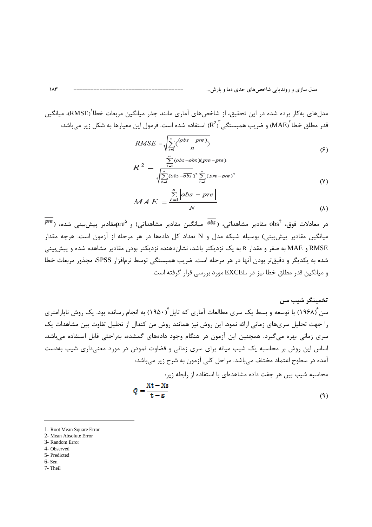مدلهای بهکار برده شده در این تحقیق، از شاخصهای آماری مانند جذر میانگین مربعات خطا<sup>'</sup>(RMSE)، میانگین قدر مطلق خطا $\rm{MAE}^{\nu}$  و ضريب همبستگي $\rm{R^{2)}}^{\nu}$  استفاده شده است. فرمول اين معيارها به شكل زير مىباشد:

$$
RMSE = \sqrt{\sum_{i=1}^{n} \left(\frac{(obs - pre)}{n}\right)}
$$
 (9)

$$
R^{2} = \frac{\sum_{i=1}^{n} (obs - \overline{obs})(pre - \overline{pre})}{\sqrt{\sum_{i=1}^{n} (obs - \overline{obs})^{2} \sum_{i=1}^{n} (pre - pre)^{2}}}
$$
(V)

$$
MAE = \frac{\sum_{i=1}^{N} |obs - pre|}{N}
$$
 (A)

 $P^{p e}$  در معادلات فوق،  $\mathrm{obs}^*$  مقادیر مشاهداتی، ( $\overline{\mathrm{obs}}$  میانگین مقادیر مشاهداتی) و  $\mathrm{pre}^{\mathrm{o}}$ مقادیر پیشبییی شده، ( میانگین مقادیر پیش بینی) بوسیله شبکه مدل و N تعداد کل دادهها در هر مرحله از آزمون است. هرچه مقدار RMSE و MAE به صفر و مقدار R به یک نزدیکتر باشد، نشان دهنده نزدیکتر بودن مقادیر مشاهده شده و پیش بینی شده به یکدیگر و دقیقتر بودن آنها در هر مرحله است. ضریب همبستگی توسط نرمافزار SPSS، مجذور مربعات خطا و میانگین قدر مطلق خطا نیز در EXCEL مورد بررسی قرار گرفته است.

#### تخمینگر شیب سن

سن ۱۹۶۸) با توسعه و بسط یک سری مطالعات آماری که تایل ۱۹۵۰) به انجام رسانده بود. یک روش ناپارامتری را جهت تحلیل سریهای زمانی ارائه نمود. این روش نیز همانند روش من کندال از تحلیل تفاوت بین مشاهدات یک سری زمانی بهره می گیرد. همچنین این آزمون در هنگام وجود دادههای گمشده، بهراحتی قابل استفاده می باشد. اساس این روش بر محاسبه یک شیب میانه برای سری زمانی و قضاوت نمودن در مورد معنیداری شیب بهدست آمده در سطوح اعتماد مختلف میباشد. مراحل کلی آزمون به شرح زیر میباشد:

محاسبه شیب بین هر جفت داده مشاهدهای با استفاده از رابطه زیر:

$$
Q = \frac{\text{Xt} - \text{Xs}}{\text{t} - \text{s}}\tag{9}
$$

<sup>1-</sup> Root Mean Square Error 2- Mean Absolute Error

<sup>3-</sup> Random Error 4- Observed

<sup>5-</sup> Predicted

<sup>6-</sup>Sen

<sup>7-</sup> Theil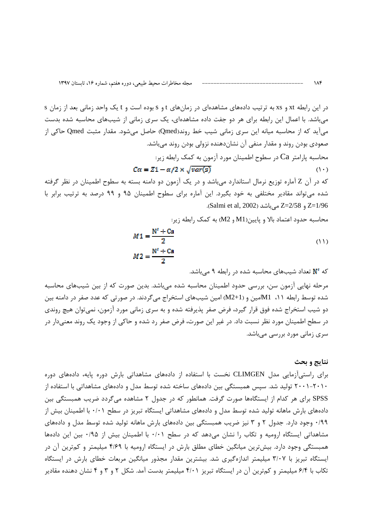در این رابطه xt و xs به ترتیب دادههای مشاهدهای در زمانهای t و s بوده است و t یک واحد زمانی بعد از زمان s میباشد. با اعمال این رابطه برای هر دو جفت داده مشاهدهای، یک سری زمانی از شیبهای محاسبه شده بدست میآید که از محاسبه میانه این سری زمانی شیب خط روند(Qmed) حاصل میشود. مقدار مثبت Qmed حاکی از صعودی بودن روند و مقدار منفی آن نشاندهنده نزولی بودن روند میباشد. محاسبه پارامتر Ca در سطوح اطمینان مورد آزمون به کمک رابطه زیر:  $Ca = Z1 - \alpha/2 \times \sqrt{var(s)}$  $(1 \cdot)$ 

که در آن Z آماره توزیع نرمال استاندارد می باشد و در یک آزمون دو دامنه بسته به سطوح اطمینان در نظر گرفته شده می تواند مقادیر مختلفی به خود بگیرد. این آماره برای سطوح اطمینان ۹۵ و ۹۹ درصد به ترتیب برابر با 2/58 و Z=2/58 مى باشد (Salmi et al, 2002).

محاسبه حدود اعتماد بالا و پایین(M1 و M2) به کمک رابطه زیر:

$$
M1 = \frac{N' + Ca}{2}
$$
  

$$
M2 = \frac{N' + Ca}{2}
$$
 (11)

### که 'N تعداد شیبهای محاسبه شده در رابطه ۹ میباشد.

مرحله نهایی آزمون سن، بررسی حدود اطمینان محاسبه شده میباشد. بدین صورت که از بین شیبهای محاسبه شده توسط رابطه ۱۱، M1امین و (M2+1) امین شیبهای استخراج میگردند. در صورتی که عدد صفر در دامنه بین دو شیب استخراج شده فوق قرار گیرد، فرض صفر پذیرفته شده و به سری زمانی مورد آزمون، نمیتوان هیچ روندی در سطح اطمینان مورد نظر نسبت داد. در غیر این صورت، فرض صفر رد شده و حاکی از وجود یک روند معنیدار در سری زمانی مورد بررسی می باشد.

### نتايج و بحث

 $\lambda$ ۴

برای راستی آزمایی مدل CLIMGEN نخست با استفاده از دادههای مشاهداتی بارش دوره پایه، دادههای دوره ۲۰۰۱-۲۰۱۰ تولید شد. سپس همبستگی بین دادههای ساخته شده توسط مدل و دادههای مشاهداتی با استفاده از SPSS برای هر کدام از ایستگاهها صورت گرفت. همانطور که در جدول ۲ مشاهده میگردد ضریب همبستگی بین دادههای بارش ماهانه تولید شده توسط مدل و دادههای مشاهداتی ایستگاه تبریز در سطح ۰/۰۱ با اطمینان بیش از ۰/۹۹ وجود دارد. جدول ۲ و ۳ نیز ضریب همبستگی بین دادههای بارش ماهانه تولید شده توسط مدل و دادههای مشاهداتی ایستگاه ارومیه و تکاب را نشان میدهد که در سطح ۰/۰۱ با اطمینان بیش از ۰/۹۵ بین این دادهها همبستگی وجود دارد. بیش ترین میانگین خطای مطلق بارش در ایستگاه ارومیه با ۴/۶۹ میلیمتر و کمترین آن در ایستگاه تبریز با ۳/۰۷ میلیمتر اندازهگیری شد. بیشترین مقدار مجذور میانگین مربعات خطای بارش در ایستگاه تکاب با ۶/۴ میلیمتر و کمترین آن در ایستگاه تبریز ۴/۰۱ میلیمتر بدست آمد. شکل ۲ و ۳ و ۴ نشان دهنده مقادیر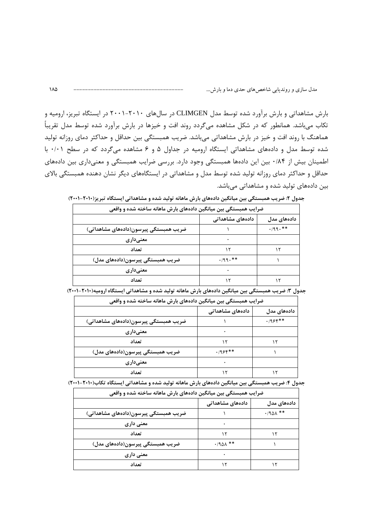بارش مشاهداتی و بارش برآورد شده توسط مدل CLIMGEN در سالهای ۲۰۱۰–۲۰۰۱ در ایستگاه تبریز، ارومیه و تکاب می باشد. همانطور که در شکل مشاهده می گردد روند افت و خیزها در بارش برآورد شده توسط مدل تقریباً هماهنگ با روند افت و خیز در بارش مشاهداتی میباشد. ضریب همبستگی بین حداقل و حداکثر دمای روزانه تولید شده توسط مدل و دادههای مشاهداتی ایستگاه ارومیه در جداول ۵ و ۶ مشاهده میگردد که در سطح ۰/۰۱ با اطمینان بیش از ۰/۸۴ بین این دادهها همبستگی وجود دارد. بررسی ضرایب همبستگی و معنیداری بین دادههای حداقل و حداکثر دمای روزانه تولید شده توسط مدل و مشاهداتی در ایستگاههای دیگر نشان دهنده همبستگی بالای بین دادههای تولید شده و مشاهداتی میباشد.

| ضرایب همبستگی بین میانگین دادههای بارش ماهانه ساخته شده و واقعی |                  |             |
|-----------------------------------------------------------------|------------------|-------------|
|                                                                 | دادەھای مشاھداتی | دادەھاي مدل |
| ضریب همبستگی پیرسون(دادههای مشاهداتی)                           |                  | $.199.***$  |
| معنىدارى                                                        |                  |             |
| تعداد                                                           | ۱۲               |             |
| ضریب همبستگی پیرسون(دادههای مدل)                                | $.199.***$       |             |
| معنىدارى                                                        |                  |             |
| تعداد                                                           |                  |             |

جدول ۲: ضریب همبستگی بین میانگین دادههای بارش ماهانه تولید شده و مشاهداتی ایستگاه تبریز(۲۰۱۰–(۲۰۰۲)

| ضرایب همبستگی بین میانگین دادههای بارش ماهانه ساخته شده و واقعی |                  |             |
|-----------------------------------------------------------------|------------------|-------------|
|                                                                 | دادەھای مشاھداتی | دادەھاي مدل |
| ضریب همبستگی پیرسون(دادههای مشاهداتی)                           |                  | $.1955***$  |
| معنىدارى                                                        |                  |             |
| تعداد                                                           |                  |             |
| ضریب همبستگی پیرسون(دادههای مدل)                                | $.1955***$       |             |
| معنىدارى                                                        |                  |             |
| تعداد                                                           |                  |             |

جدول ۳: ضریب همبستگی بین میانگین دادههای بارش ماهانه تولید شده و مشاهداتی ایستگاه ارومیه(۲۰۱۰–۲۰۰۱)

| ضرایب همبستگی بین میانگین دادههای بارش ماهانه ساخته شده و واقعی |                  |                 |
|-----------------------------------------------------------------|------------------|-----------------|
|                                                                 | دادەھاي مشاھداتى | دادەھاي مدل     |
| ضریب همبستگی پیرسون(دادههای مشاهداتی)                           |                  | $\cdot$ /941 ** |
| معنی داری                                                       |                  |                 |
| تعداد                                                           |                  |                 |
| ضریب همبستگی پیرسون(دادههای مدل)                                | $\cdot$ /901 **  |                 |
| معنی داری                                                       |                  |                 |
| تعداد                                                           |                  |                 |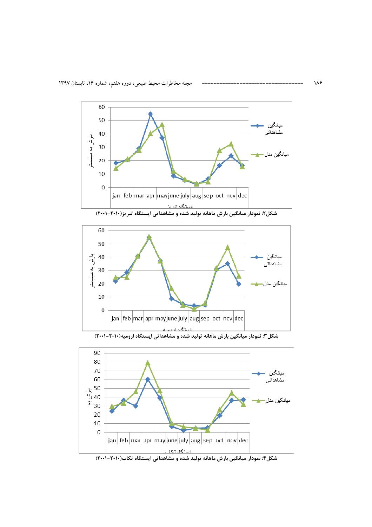





شکل۳: نمودار میانگین بارش ماهانه تولید شده و مشاهداتی ایستگاه ارومیه(۲۰۱۰-۲۰۰۱)



شکل۴: نمودار میانگین بارش ماهانه تولید شده و مشاهداتی ایستگاه تکاب(۲۰۱۰-۲۰۰۱)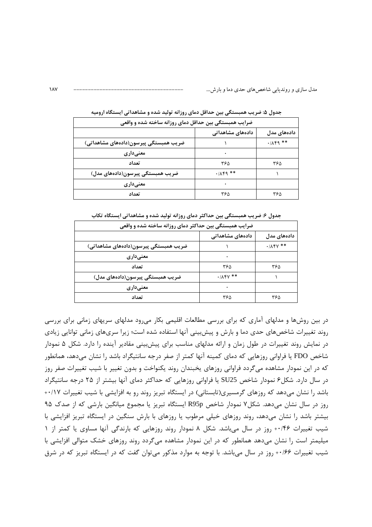| ضرایب همبستگی بین حداقل دمای روزانه ساخته شده و واقعی |                                                |                              |
|-------------------------------------------------------|------------------------------------------------|------------------------------|
|                                                       | دادەھای مشاھداتی                               | دادەھاي مدل                  |
| ضریب همبستگی پیرسون(دادههای مشاهداتی)                 |                                                | $\cdot$ $/$ $\wedge$ $+$ $*$ |
| معنىدارى                                              |                                                |                              |
| تعداد                                                 | ۳۶۵                                            | ۳۶۵                          |
| ضریب همبستگی پیرسون(دادههای مدل)                      | $\cdot$ $/$ $\wedge$ $\uparrow$ $\uparrow$ $*$ |                              |
| معنىدارى                                              |                                                |                              |
| تعداد                                                 | ۳۶۵                                            | ۳۶۵                          |

جدول ۵: ضریب همبستگی بین حداقل دمای روزانه تولید شده و مشاهداتی ایستگاه ارومیه

جدول ۶: ضریب همبستگی بین حداکثر دمای روزانه تولید شده و مشاهداتی ایستگاه تکاب

| ضرایب همبستگی بین حداکثر دمای روزانه ساخته شده و واقعی |                                         |                                         |
|--------------------------------------------------------|-----------------------------------------|-----------------------------------------|
|                                                        | دادەھای مشاھداتی                        | دادەھاي مدل                             |
| ضریب همبستگی پیرسون(دادههای مشاهداتی)                  |                                         | $\cdot$ / $\wedge$ $\uparrow$ $\vee$ ** |
| معنىدارى                                               |                                         |                                         |
| تعداد                                                  | ۳۶۵                                     | ۳۶۵                                     |
| ضریب همبستگی پیرسون(دادههای مدل)                       | $\cdot$ / $\wedge$ $\uparrow$ $\vee$ ** |                                         |
| معنىدارى                                               |                                         |                                         |
| تعداد                                                  | ۳۶۵                                     | ۳۶۵                                     |

در بین روشها و مدلهای آماری که برای بررسی مطالعات اقلیمی بکار می رود مدلهای سریهای زمانی برای بررسی روند تغییرات شاخصهای حدی دما و بارش و پیشبینی آنها استفاده شده است؛ زیرا سریهای زمانی توانایی زیادی در نمایش روند تغییرات در طول زمان و ارائه مدلهای مناسب برای پیشبینی مقادیر آینده را دارد. شکل ۵ نمودار شاخص FDO یا فراوانی روزهایی که دمای کمینه آنها کمتر از صفر درجه سانتیگراد باشد را نشان میدهد، همانطور که در این نمودار مشاهده می گردد فراوانی روزهای یخبندان روند یکنواخت و بدون تغییر با شیب تغییرات صفر روز در سال دارد. شکل۶ نمودار شاخص SU25 یا فراوانی روزهایی که حداکثر دمای آنها بیشتر از ۲۵ درجه سانتیگراد باشد را نشان میدهد که روزهای گرمسیری(تابستانی) در ایستگاه تبریز روند رو به افزایشی با شیب تغییرات ۰/۱۷+ روز در سال نشان میدهد. شکل ۷ نمودار شاخص R95p ایستگاه تبریز یا مجموع میانگین بارشی که از صدک ۹۵ بیشتر باشد را نشان میدهد، روند روزهای خیلی مرطوب یا روزهای با بارش سنگین در ایستگاه تبریز افزایشی با شیب تغییرات ۰۰/۴۶ روز در سال میباشد. شکل ۸ نمودار روند روزهایی که بارندگی آنها مساوی یا کمتر از ۱ میلیمتر است را نشان میدهد همانطور که در این نمودار مشاهده میگردد روند روزهای خشک متوالی افزایشی با شیب تغییرات ۱۰/۶۶ روز در سال میباشد. با توجه به موارد مذکور میتوان گفت که در ایستگاه تبریز که در شرق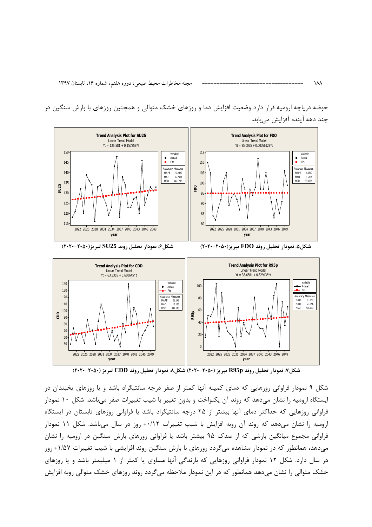vear



حوضه دریاچه ارومیه قرار دارد وضعیت افزایش دما و روزهای خشک متوالی و همچنین روزهای با بارش سنگین در چند دهه آینده آفزایش مییابد.

شکل۷: نمودار تحلیل روند R95p تبریز (۲۰۵۰-۲۰۲۰) شکل۸: نمودار تحلیل روند CDD تبریز (۲۰۵۰-۲۰۲۰)

yea

شکل ۹ نمودار فراوانی روزهایی که دمای کمینه آنها کمتر از صفر درجه سانتیگراد باشد و یا روزهای پخبندان در ایستگاه ارومیه را نشان می۵هد که روند آن یکنواخت و بدون تغییر با شیب تغییرات صفر میباشد. شکل ۱۰ نمودار فراوانی روزهایی که حداکثر دمای آنها بیشتر از ۲۵ درجه سانتیگراد باشد یا فراوانی روزهای تابستان در ایستگاه ارومیه را نشان میدهد که روند آن روبه افزایش با شیب تغییرات ۰۰/۱۲+ روز در سال میباشد. شکل ۱۱ نمودار فراوانی مجموع میانگین بارشی که از صدک ۹۵ بیشتر باشد یا فراوانی روزهای بارش سنگین در ارومیه را نشان می دهد، همانطور که در نمودار مشاهده می گردد روزهای با بارش سنگین روند افزایشی با شیب تغییرات ۱/۵۷+ روز در سال دارد. شکل ۱۲ نمودار فراوانی روزهایی که بارندگی آنها مساوی یا کمتر از ۱ میلیمتر باشد و یا روزهای خشک متوالی را نشان می دهد همانطور که در این نمودار ملاحظه می گردد روند روزهای خشک متوالی روبه افزایش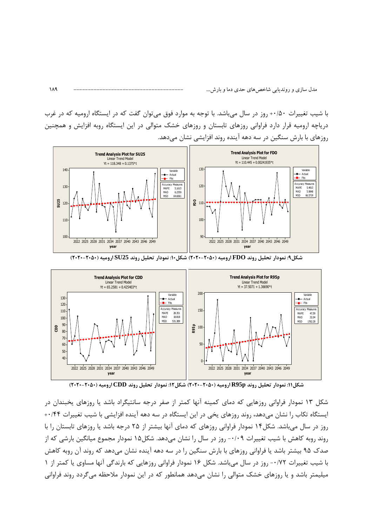با شیب تغییرات ۰۰/۵۰+ روز در سال می باشد. با توجه به موارد فوق می توان گفت که در ایستگاه ارومیه که در غرب دریاچه ارومیه قرار دارد فراوانی روزهای تابستان و روزهای خشک متوالی در این ایستگاه روبه افزایش و همچنین روزهای با بارش سنگین در سه دهه آینده روند افزایشی نشان می دهد.



شکل۹: نمودار تحلیل روند FDO ارومیه (۲۰۵۰–۲۰۲۰) شکل۱۰: نمودار تحلیل روند SU25 ارومیه (۲۰۵۰–۲۰۲۰)



شکل۱۱: نمودار تحلیل روند R95p ارومیه (۲۰۵۰–۲۰۲۰) شکل۱۲: نمودار تحلیل روند CDD ارومیه (۲۰۵۰–۲۰۲۰)

شکل ۱۳ نمودار فراوانی روزهایی که دمای کمینه آنها کمتر از صفر درجه سانتیگراد باشد یا روزهای یخبندان در ایستگاه تکاب را نشان میدهد، روند روزهای یخی در این ایستگاه در سه دهه آینده افزایشی با شیب تغییرات ۰/۴۴ روز در سال میباشد. شکل۱۴ نمودار فراوانی روزهای که دمای آنها بیشتر از ۲۵ درجه باشد یا روزهای تابستان را با روند روبه كاهش با شيب تغييرات ٠/٠٩- روز در سال را نشان مىدهد. شكل1۵ نمودار مجموع ميانگين بارشي كه از صدک ۹۵ بیشتر باشد یا فراوانی روزهای با بارش سنگین را در سه دهه آینده نشان می۵هد که روند آن روبه کاهش با شیب تغییرات ۰/۷۲- روز در سال می باشد. شکل ۱۶ نمودار فراوانی روزهایی که بارندگی آنها مساوی یا کمتر از ۱ میلیمتر باشد و یا روزهای خشک متوالی را نشان میدهد همانطور که در این نمودار ملاحظه میگردد روند فراوانی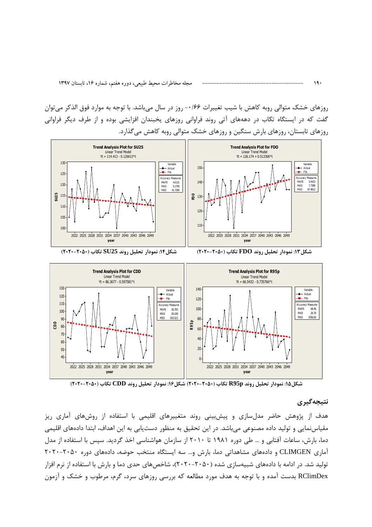روزهای خشک متوالی روبه کاهش با شیب تغییرات ۱۶۶۰- روز در سال می باشد. با توجه به موارد فوق الذکر می توان گفت که در ایستگاه تکاب در دهههای آتی روند فراوانی روزهای یخبندان افزایشی بوده و از طرف دیگر فراوانی روزهای تابستان، روزهای بارش سنگین و روزهای خشک متوالی روبه کاهش می گذارد.



شکل۱۵: نمودار تحلیل روند R95p تکاب (۲۰۵۰-۲۰۲۰) شکل۱۶: نمودار تحلیل روند CDD تکاب (۲۰۵۰-۲۰۲۰)

### نتىجەگىرى

هدف از پژوهش حاضر مدلسازی و پیشبینی روند متغییرهای اقلیمی با استفاده از روشهای آماری ریز مقیاس نمایی و تولید داده مصنوعی می باشد. در این تحقیق به منظور دست یابی به این اهداف، ابتدا دادههای اقلیمی دما، بارش، ساعات آفتابی و … طی دوره ۱۹۸۱ تا ۲۰۱۰ از سازمان هواشناسی اخذ گردید. سپس با استفاده از مدل آماری CLIMGEN و دادههای مشاهداتی دما، بارش و… سه ایستگاه منتخب حوضه، دادههای دوره ۲۰۵۰-۲۰۲۰ تولید شد. در ادامه با دادههای شبیهسازی شده (۲۰۵۰–۲۰۲۰)، شاخصهای حدی دما و بارش با استفاده از نرم افزار RClimDex بدست آمده و با توجه به هدف مورد مطالعه که بررسی روزهای سرد، گرم، مرطوب و خشک و آزمون

 $19.$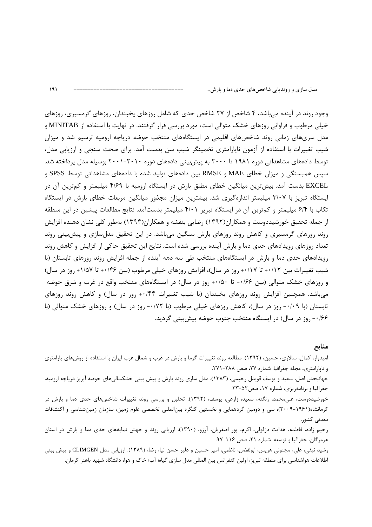وجود روند در آینده میباشد، ۴ شاخص از ۲۷ شاخص حدی که شامل روزهای یخبندان، روزهای گرمسیری، روزهای خیلی مرطوب و فراوانی روزهای خشک متوالی است، مورد بررسی قرار گرفتند. در نهایت با استفاده از MINITAB و مدل سریهای زمانی روند شاخصهای اقلیمی در ایستگاههای منتخب حوضه دریاچه ارومیه ترسیم شد و میزان شیب تغییرات با استفاده از آزمون ناپارامتری تخمینگر شیب سن بدست آمد. برای صحت سنجی و ارزیابی مدل، توسط دادههای مشاهداتی دوره ۱۹۸۱ تا ۲۰۰۰ به پیش بینی دادههای دوره ۲۰۱۰–۲۰۰۱ بوسیله مدل پرداخته شد. سپس همبستگی و میزان خطای MAE و RMSE بین دادههای تولید شده با دادههای مشاهداتی توسط SPSS و EXCEL بدست آمد. بیش ترین میانگین خطای مطلق بارش در ایستگاه ارومیه با ۴/۶۹ میلیمتر و کم ترین آن در ایستگاه تبریز با ۳/۰۷ میلیمتر اندازهگیری شد. بیشترین میزان مجذور میانگین مربعات خطای بارش در ایستگاه تكاب با ۶/۴ ميليمتر و كمترين آن در ايستگاه تبريز ۴/۰۱ ميليمتر بدستآمد. نتايج مطالعات پيشين در اين منطقه از جمله تحقیق خورشیددوست و همکاران(۱۳۹۲) رضایی بنفشه و همکاران(۱۳۹۴) بهطور کلی نشان دهنده افزایش روند روزهای گرمسیری و کاهش روند روزهای بارش سنگین میباشد. در این تحقیق مدلسازی و پیشبینی روند تعداد روزهای رویدادهای حدی دما و بارش آینده بررسی شده است. نتایج این تحقیق حاکی از افزایش و کاهش روند رویدادهای حدی دما و بارش در ایستگاههای منتخب طی سه دهه آینده از جمله افزایش روند روزهای تابستان (با شیب تغییرات بین ۰/۱۲+ تا ۰/۱۷+ روز در سال)، افزایش روزهای خیلی مرطوب (بین ۰/۴۶+ تا ۱/۵۷+ روز در سال) و روزهای خشک متوالی (بین ۱۶۶+ تا ۱۵۰+ روز در سال) در ایستگاههای منتخب واقع در غرب و شرق حوضه می باشد. همچنین افزایش روند روزهای یخبندان (با شیب تغییرات ۰/۴۴+ روز در سال) و کاهش روند روزهای تابستان (با ۰/۰۹- روز در سال)، کاهش روزهای خیلی مرطوب (با ۰/۷۲- روز در سال) و روزهای خشک متوالی (با ۱۶۶– روز در سال) در ایستگاه منتخب جنوب حوضه پیش بینی گردید.

منابع

امیدوار، کمال، سالاری، حسین، (۱۳۹۲). مطالعه روند تغییرات گرما و بارش در غرب و شمال غرب ایران با استفاده از روشهای پارامتری و ناپارامتري، مجله جغرافيا. شماره ٢٧، صص ٢٨٨-٢٧١.

جهانبخش اصل، سعید و یوسف قویدل رحیمی، (۱۳۸۳). مدل سازی روند بارش و پیش بینی خشکسالیهای حوضه آبریز دریاچه ارومیه، جغرافیا و برنامهریزی، شماره ۱۷، صص۵۲-۳۳.

خورشیددوست، علیمحمد، زنگنه، سعید، زارعی، یوسف، (۱۳۹۲). تحلیل و بررسی روند تغییرات شاخصهای حدی دما و بارش در کرمانشاه(۱۹۶۱-۲۰۰۹)، سی و دومین گردهمایی و نخستین کنگره بینالمللی تخصصی علوم زمین، سازمان زمینشناسی و اکتشافات معدنی کشور.

رحیم زاده، فاطمه، هدایت دزفولی، اکرم، پور اصغریان، آرزو، (۱۳۹۰). ارزیابی روند و جهش نمایههای حدی دما و بارش در استان هرمزگان، جغرافيا و توسعه. شماره ۲۱، صص ۱۱۶-۹۷.

رشيد نيقي، علي، مجنوني هريس، ابولفضل، ناظمي، امير حسين و دلير حسن نيا، رضا، (١٣٨٩). ارزيابي مدل CLIMGEN و پيش بيني اطلاعات هواشناسی برای منطقه تبریز، اولین کنفرانس بین المللی مدل سازی گیاه؛ آب؛ خاک و هوا، دانشگاه شهید باهنر کرمان.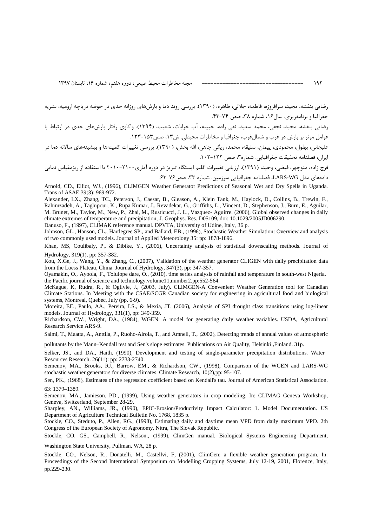رضایی بنفشه، مجید، سرافروزه، فاطمه، جلالی، طاهره، (۱۳۹۰). بررسی روند دما و بارشهای روزانه حدی در حوضه دریاچه ارومیه، نشریه جغرافیا و برنامهریزی. سال۱۶، شماره ۳۸، صص ۷۴-۴۳.

رضایی بنفشه، مجید، نجفی، محمد سعید، نقی زاده، حبیبه، آب خرابات، شعیب، (۱۳۹۴). واکاوی رفتار بارشهای حدی در ارتباط با عوامل موثر بر بارش در غرب و شمالغرب، جغرافيا و مخاطرات محيطي. ش۱۳، صص۱۵۳–۱۳۳.

عليجاني، بهلول، محمودي، پيمان، سليقه، محمد، ريگي چاهي، الله بخش، (١٣٩٠). بررسي تغييرات كمينهها و بيشينههاي سالانه دما در ايران، فصلنامه تحقيقات جغرافيايي. شماره٣، صص ١٢٢-١٠٢.

فرج زاده، منوچهر، فيضي، وحيد، (١٣٩١). ارزيابي تغييرات اقليم ايستگاه تبريز در دوره آماري٢١٠٠-٢٠١٠ با استفاده از ريزمقياس نمايي دادههای مدل LARS-WG، فصلنامه جغرافیایی سرزمین. شماره ۳۳، صص۷۶-۶۳.

Arnold, CD., Elliot, WJ., (1996), CLIMGEN Weather Generator Predictions of Seasonal Wet and Dry Spells in Uganda. Trans of ASAE 39(3): 969-972.

Alexander, LX., Zhang, TC., Peterson, J., Caesar, B., Gleason, A., Klein Tank, M., Haylock, D., Collins, B., Trewin, F., Rahimzadeh, A., Taghipour, K., Rupa Kumar, J., Revadekar, G., Griffiths, L., Vincent, D., Stephenson, J., Burn, E., Aguilar, M. Brunet, M., Taylor, M., New, P., Zhai, M., Rusticucci, J. L., Vazquez- Aguirre. (2006), Global observed changes in daily climate extremes of temperature and precipitation, J. Geophys. Res. D05109, doi: 10.1029/2005JD006290.

Danuso, F., (1997), CLIMAK reference manual. DPVTA, University of Udine, Italy, 36 p.

Johnson, GL., Hanson, CL., Hardegree SP., and Ballard, EB., (1996), Stochastic Weather Simulation: Overview and analysis of two commonly used models. Journal of Applied Meteorology 35: pp: 1878-1896.

Khan, MS, Coulibaly, P., & Dibike, Y., (2006), Uncertainty analysis of statistical downscaling methods. Journal of Hydrology, 319(1), pp: 357-382.

Kou, X.Ge, J., Wang, Y., & Zhang, C., (2007), Validation of the weather generator CLIGEN with daily precipitation data from the Loess Plateau, China. Journal of Hydrology, 347(3), pp: 347-357.

Oyamakin, O., Ayoola, F., Tolulope dare, O., (2010), time series analysis of rainfall and temperature in south-west Nigeria. the Pacific journal of science and technology.volume11,number2.pp:552-564.

McKague, K, Rudra, R., & Ogilvie, J., (2003, July). CLIMGEN-A Convenient Weather Generation tool for Canadian Climate Stations. In Meeting with the CSAE/SCGR Canadian society for engineering in agricultural food and biological systems, Montreal, Quebec, July (pp. 6-9).

Moreira, EE., Paulo, AA., Pereira, LS., & Mexia, JT. (2006), Analysis of SPI drought class transitions using log-linear models. Journal of Hydrology, 331(1), pp: 349-359.

Richardson, CW., Wright, DA., (1984), WGEN: A model for generating daily weather variables. USDA, Agricultural Research Service ARS-9.

Salmi, T., Maatta, A., Anttila, P., Ruoho-Airola, T., and Amnell, T., (2002), Detecting trends of annual values of atmospheric

pollutants by the Mann–Kendall test and Sen's slope estimates. Publications on Air Quality, Helsinki , Finland. 31p.

Selker, JS., and DA., Haith. (1990), Development and testing of single-parameter precipitation distributions. Water Resources Research. 26(11): pp: 2733-2740.

Semenov, MA., Brooks, RJ., Barrow, EM., & Richardson, CW., (1998), Comparison of the WGEN and LARS-WG stochastic weather generators for diverse climates. Climate Research, 10(2),pp: 95-107.

Sen, PK., (1968), Estimates of the regression coefficient based on Kendall's tau. Journal of American Statistical Association. 63: 1379–1389.

Semenov, MA., Jamieson, PD., (1999), Using weather generators in crop modeling. In: CLIMAG Geneva Workshop, Geneva, Switzerland, September 28-29.

Sharpley, AN., Williams, JR., (1990), EPIC-Erosion/Productivity Impact Calculator: 1. Model Documentation. US Department of Agriculture Technical Bulletin No. 1768, 1835 p.

Stockle, CO., Steduto, P., Allen, RG., (1998), Estimating daily and daytime mean VPD from daily maximum VPD. 2th Congress of the European Society of Agronomy, Nitra, The Slovak Republic.

Stöckle, CO. GS., Campbell, R., Nelson., (1999), ClimGen manual. Biological Systems Engineering Department, Washington State University, Pullman, WA, 28 p.

Stockle, CO., Nelson, R., Donatelli, M., Castellvi, F, (2001), ClimGen: a flexible weather generation program. In: Proceedings of the Second International Symposium on Modelling Cropping Systems, July 12-19, 2001, Florence, Italy,

pp.229-230.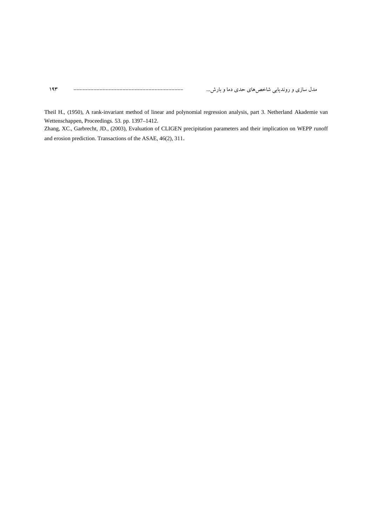Theil H., (1950), A rank-invariant method of linear and polynomial regression analysis, part 3. Netherland Akademie van Wettenschappen, Proceedings. 53. pp. 1397–1412.

Zhang, XC., Garbrecht, JD., (2003), Evaluation of CLIGEN precipitation parameters and their implication on WEPP runoff and erosion prediction. Transactions of the ASAE, 46(2), 311.